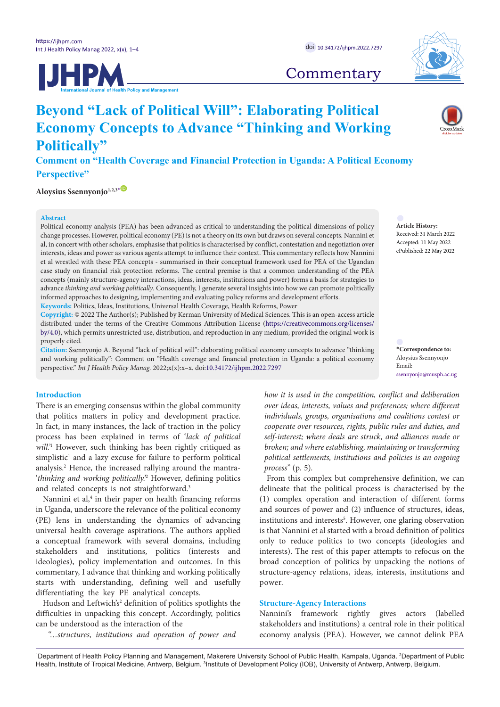



**Commentary** 

# **Beyond "Lack of Political Will": Elaborating Political Economy Concepts to Advance "Thinking and Working Politically"**

**Comment on "Health Coverage and Financial Protection in Uganda: A Political Economy Perspective"**

**Aloysius Ssennyonjo1,2,3[\\*](#page-0-0)** [ID](https://orcid.org/0000-0002-5790-4874)

# **Abstract**

Political economy analysis (PEA) has been advanced as critical to understanding the political dimensions of policy change processes. However, political economy (PE) is not a theory on its own but draws on several concepts. Nannini et al, in concert with other scholars, emphasise that politics is characterised by conflict, contestation and negotiation over interests, ideas and power as various agents attempt to influence their context. This commentary reflects how Nannini et al wrestled with these PEA concepts - summarised in their conceptual framework used for PEA of the Ugandan case study on financial risk protection reforms. The central premise is that a common understanding of the PEA concepts (mainly structure-agency interactions, ideas, interests, institutions and power) forms a basis for strategies to advance *thinking and working politically*. Consequently, I generate several insights into how we can promote politically informed approaches to designing, implementing and evaluating policy reforms and development efforts. **Keywords:** Politics, Ideas, Institutions, Universal Health Coverage, Health Reforms, Power

**Copyright:** © 2022 The Author(s); Published by Kerman University of Medical Sciences. This is an open-access article distributed under the terms of the Creative Commons Attribution License [\(https://creativecommons.org/licenses/](https://creativecommons.org/licenses/by/4.0/) [by/4.0](https://creativecommons.org/licenses/by/4.0/)), which permits unrestricted use, distribution, and reproduction in any medium, provided the original work is properly cited.

**Citation:** Ssennyonjo A. Beyond "lack of political will": elaborating political economy concepts to advance "thinking and working politically": Comment on "Health coverage and financial protection in Uganda: a political economy perspective." *Int J Health Policy Manag.* 2022;x(x):x–x. doi[:10.34172/ijhpm.2022.7297](https://doi.org/10.34172/ijhpm.2022.7297)

# **Introduction**

There is an emerging consensus within the global community that politics matters in policy and development practice. In fact, in many instances, the lack of traction in the policy process has been explained in terms of '*lack of political will.'*<sup>1</sup> However, such thinking has been rightly critiqued as simplistic<sup>1</sup> and a lazy excuse for failure to perform political analysis.<sup>2</sup> Hence, the increased rallying around the mantra-'*thinking and working politically.'*<sup>2</sup> However, defining politics and related concepts is not straightforward.3

Nannini et al,<sup>4</sup> in their paper on health financing reforms in Uganda, underscore the relevance of the political economy (PE) lens in understanding the dynamics of advancing universal health coverage aspirations. The authors applied a conceptual framework with several domains, including stakeholders and institutions, politics (interests and ideologies), policy implementation and outcomes. In this commentary, I advance that thinking and working politically starts with understanding, defining well and usefully differentiating the key PE analytical concepts.

Hudson and Leftwich's<sup>2</sup> definition of politics spotlights the difficulties in unpacking this concept. Accordingly, politics can be understood as the interaction of the

*"…structures, institutions and operation of power and* 

*how it is used in the competition, conflict and deliberation over ideas, interests, values and preferences; where different individuals, groups, organisations and coalitions contest or cooperate over resources, rights, public rules and duties, and self-interest; where deals are struck, and alliances made or broken; and where establishing, maintaining or transforming political settlements, institutions and policies is an ongoing process"* (p. 5)*.* 

From this complex but comprehensive definition, we can delineate that the political process is characterised by the (1) complex operation and interaction of different forms and sources of power and (2) influence of structures, ideas, institutions and interests<sup>5</sup>. However, one glaring observation is that Nannini et al started with a broad definition of politics only to reduce politics to two concepts (ideologies and interests). The rest of this paper attempts to refocus on the broad conception of politics by unpacking the notions of structure-agency relations, ideas, interests, institutions and power.

# **Structure-Agency Interactions**

Nannini's framework rightly gives actors (labelled stakeholders and institutions) a central role in their political economy analysis (PEA). However, we cannot delink PEA

1 Department of Health Policy Planning and Management, Makerere University School of Public Health, Kampala, Uganda. 2 Department of Public Health, Institute of Tropical Medicine, Antwerp, Belgium. <sup>3</sup>Institute of Development Policy (IOB), University of Antwerp, Antwerp, Belgium.

**Article History:** Received: 31 March 2022 Accepted: 11 May 2022 ePublished: 22 May 2022

<span id="page-0-0"></span>**\*Correspondence to:** Aloysius Ssennyonjo Email: ssennyonjo@musph.ac.ug

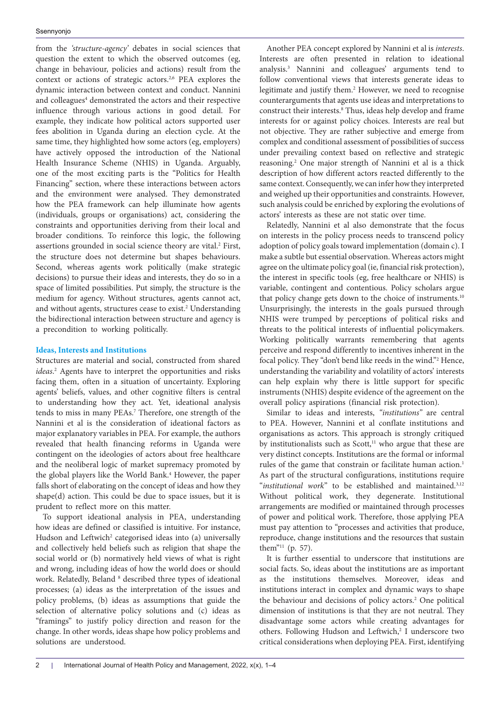from the *'structure-agency'* debates in social sciences that question the extent to which the observed outcomes (eg, change in behaviour, policies and actions) result from the context or actions of strategic actors.<sup>2,6</sup> PEA explores the dynamic interaction between context and conduct. Nannini and colleagues<sup>4</sup> demonstrated the actors and their respective influence through various actions in good detail. For example, they indicate how political actors supported user fees abolition in Uganda during an election cycle. At the same time, they highlighted how some actors (eg, employers) have actively opposed the introduction of the National Health Insurance Scheme (NHIS) in Uganda. Arguably, one of the most exciting parts is the "Politics for Health Financing" section, where these interactions between actors and the environment were analysed. They demonstrated how the PEA framework can help illuminate how agents (individuals, groups or organisations) act, considering the constraints and opportunities deriving from their local and broader conditions. To reinforce this logic, the following assertions grounded in social science theory are vital.<sup>2</sup> First, the structure does not determine but shapes behaviours. Second, whereas agents work politically (make strategic decisions) to pursue their ideas and interests, they do so in a space of limited possibilities. Put simply, the structure is the medium for agency. Without structures, agents cannot act, and without agents, structures cease to exist.<sup>2</sup> Understanding the bidirectional interaction between structure and agency is a precondition to working politically.

# **Ideas, Interests and Institutions**

Structures are material and social, constructed from shared *ideas*. 2 Agents have to interpret the opportunities and risks facing them, often in a situation of uncertainty. Exploring agents' beliefs, values, and other cognitive filters is central to understanding how they act. Yet, ideational analysis tends to miss in many PEAs.<sup>7</sup> Therefore, one strength of the Nannini et al is the consideration of ideational factors as major explanatory variables in PEA. For example, the authors revealed that health financing reforms in Uganda were contingent on the ideologies of actors about free healthcare and the neoliberal logic of market supremacy promoted by the global players like the World Bank.<sup>4</sup> However, the paper falls short of elaborating on the concept of ideas and how they shape(d) action. This could be due to space issues, but it is prudent to reflect more on this matter.

To support ideational analysis in PEA, understanding how ideas are defined or classified is intuitive. For instance, Hudson and Leftwich<sup>2</sup> categorised ideas into (a) universally and collectively held beliefs such as religion that shape the social world or (b) normatively held views of what is right and wrong, including ideas of how the world does or should work. Relatedly, Beland <sup>8</sup> described three types of ideational processes; (a) ideas as the interpretation of the issues and policy problems, (b) ideas as assumptions that guide the selection of alternative policy solutions and (c) ideas as "framings" to justify policy direction and reason for the change. In other words, ideas shape how policy problems and solutions are understood.

Another PEA concept explored by Nannini et al is *interests*. Interests are often presented in relation to ideational analysis.3 Nannini and colleagues' arguments tend to follow conventional views that interests generate ideas to legitimate and justify them.<sup>2</sup> However, we need to recognise counterarguments that agents use ideas and interpretations to construct their interests.8 Thus, ideas help develop and frame interests for or against policy choices. Interests are real but not objective. They are rather subjective and emerge from complex and conditional assessment of possibilities of success under prevailing context based on reflective and strategic reasoning.<sup>2</sup> One major strength of Nannini et al is a thick description of how different actors reacted differently to the same context. Consequently, we can infer how they interpreted and weighed up their opportunities and constraints. However, such analysis could be enriched by exploring the evolutions of actors' interests as these are not static over time.

Relatedly, Nannini et al also demonstrate that the focus on interests in the policy process needs to transcend policy adoption of policy goals toward implementation (domain c). I make a subtle but essential observation. Whereas actors might agree on the ultimate policy goal (ie, financial risk protection), the interest in specific tools (eg, free healthcare or NHIS) is variable, contingent and contentious. Policy scholars argue that policy change gets down to the choice of instruments.<sup>10</sup> Unsurprisingly, the interests in the goals pursued through NHIS were trumped by perceptions of political risks and threats to the political interests of influential policymakers. Working politically warrants remembering that agents perceive and respond differently to incentives inherent in the focal policy. They "don't bend like reeds in the wind."2 Hence, understanding the variability and volatility of actors' interests can help explain why there is little support for specific instruments (NHIS) despite evidence of the agreement on the overall policy aspirations (financial risk protection).

Similar to ideas and interests, *"institutions"* are central to PEA. However, Nannini et al conflate institutions and organisations as actors. This approach is strongly critiqued by institutionalists such as Scott,<sup>11</sup> who argue that these are very distinct concepts. Institutions are the formal or informal rules of the game that constrain or facilitate human action.<sup>1</sup> As part of the structural configurations, institutions require "*institutional work*" to be established and maintained.3,12 Without political work, they degenerate. Institutional arrangements are modified or maintained through processes of power and political work. Therefore, those applying PEA must pay attention to "processes and activities that produce, reproduce, change institutions and the resources that sustain them"<sup>11</sup> (p. 57).

It is further essential to underscore that institutions are social facts. So, ideas about the institutions are as important as the institutions themselves. Moreover, ideas and institutions interact in complex and dynamic ways to shape the behaviour and decisions of policy actors.<sup>2</sup> One political dimension of institutions is that they are not neutral. They disadvantage some actors while creating advantages for others. Following Hudson and Leftwich,<sup>2</sup> I underscore two critical considerations when deploying PEA. First, identifying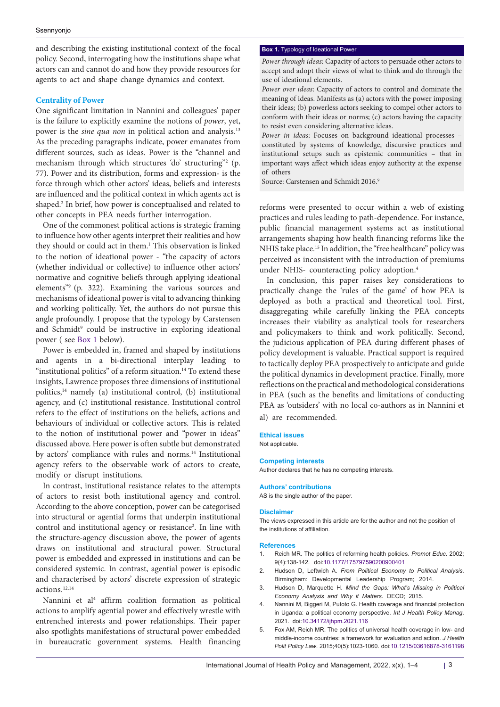and describing the existing institutional context of the focal policy. Second, interrogating how the institutions shape what actors can and cannot do and how they provide resources for agents to act and shape change dynamics and context.

## **Centrality of Power**

One significant limitation in Nannini and colleagues' paper is the failure to explicitly examine the notions of *power*, yet, power is the *sine qua non* in political action and analysis.<sup>13</sup> As the preceding paragraphs indicate, power emanates from different sources, such as ideas. Power is the "channel and mechanism through which structures 'do' structuring"<sup>2</sup> (p. 77). Power and its distribution, forms and expression- is the force through which other actors' ideas, beliefs and interests are influenced and the political context in which agents act is shaped.<sup>2</sup> In brief, how power is conceptualised and related to other concepts in PEA needs further interrogation.

One of the commonest political actions is strategic framing to influence how other agents interpret their realities and how they should or could act in them.<sup>1</sup> This observation is linked to the notion of ideational power - "the capacity of actors (whether individual or collective) to influence other actors' normative and cognitive beliefs through applying ideational elements"9 (p. 322). Examining the various sources and mechanisms of ideational power is vital to advancing thinking and working politically. Yet, the authors do not pursue this angle profoundly. I propose that the typology by Carstensen and Schmidt<sup>9</sup> could be instructive in exploring ideational power ( see [Box 1](#page-2-0) below).

Power is embedded in, framed and shaped by institutions and agents in a bi-directional interplay leading to "institutional politics" of a reform situation.<sup>14</sup> To extend these insights, Lawrence proposes three dimensions of institutional politics,14 namely (a) institutional control, (b) institutional agency, and (c) institutional resistance. Institutional control refers to the effect of institutions on the beliefs, actions and behaviours of individual or collective actors. This is related to the notion of institutional power and "power in ideas" discussed above. Here power is often subtle but demonstrated by actors' compliance with rules and norms.<sup>14</sup> Institutional agency refers to the observable work of actors to create, modify or disrupt institutions.

In contrast, institutional resistance relates to the attempts of actors to resist both institutional agency and control. According to the above conception, power can be categorised into structural or agential forms that underpin institutional control and institutional agency or resistance<sup>2</sup>. In line with the structure-agency discussion above, the power of agents draws on institutional and structural power. Structural power is embedded and expressed in institutions and can be considered systemic. In contrast, agential power is episodic and characterised by actors' discrete expression of strategic actions.12,14

Nannini et al<sup>4</sup> affirm coalition formation as political actions to amplify agential power and effectively wrestle with entrenched interests and power relationships. Their paper also spotlights manifestations of structural power embedded in bureaucratic government systems. Health financing

#### <span id="page-2-0"></span>**Box 1.** Typology of Ideational Power

*Power through ideas*: Capacity of actors to persuade other actors to accept and adopt their views of what to think and do through the use of ideational elements.

*Power over ideas*: Capacity of actors to control and dominate the meaning of ideas. Manifests as (a) actors with the power imposing their ideas; (b) powerless actors seeking to compel other actors to conform with their ideas or norms; (c) actors having the capacity to resist even considering alternative ideas.

*Power in ideas*: Focuses on background ideational processes – constituted by systems of knowledge, discursive practices and institutional setups such as epistemic communities – that in important ways affect which ideas enjoy authority at the expense of others

Source: Carstensen and Schmidt 2016.9

reforms were presented to occur within a web of existing practices and rules leading to path-dependence. For instance, public financial management systems act as institutional arrangements shaping how health financing reforms like the NHIS take place.15 In addition, the "free healthcare" policy was perceived as inconsistent with the introduction of premiums under NHIS- counteracting policy adoption.<sup>4</sup>

In conclusion, this paper raises key considerations to practically change the 'rules of the game' of how PEA is deployed as both a practical and theoretical tool. First, disaggregating while carefully linking the PEA concepts increases their viability as analytical tools for researchers and policymakers to think and work politically. Second, the judicious application of PEA during different phases of policy development is valuable. Practical support is required to tactically deploy PEA prospectively to anticipate and guide the political dynamics in development practice. Finally, more reflections on the practical and methodological considerations in PEA (such as the benefits and limitations of conducting PEA as 'outsiders' with no local co-authors as in Nannini et al) are recommended.

#### **Ethical issues**

Not applicable.

#### **Competing interests**

Author declares that he has no competing interests.

#### **Authors' contributions**

AS is the single author of the paper.

#### **Disclaimer**

The views expressed in this article are for the author and not the position of the institutions of affiliation.

#### **References**

- 1. Reich MR. The politics of reforming health policies. *Promot Educ*. 2002; 9(4):138-142. doi[:10.1177/175797590200900401](https://doi.org/10.1177/175797590200900401)
- 2. Hudson D, Leftwich A. *From Political Economy to Political Analysis*. Birmingham: Developmental Leadership Program; 2014.
- 3. Hudson D, Marquette H. *Mind the Gaps: What's Missing in Political Economy Analysis and Why it Matters*. OECD; 2015.
- 4. Nannini M, Biggeri M, Putoto G. Health coverage and financial protection in Uganda: a political economy perspective. *Int J Health Policy Manag*. 2021. doi:[10.34172/ijhpm.2021.116](https://doi.org/10.34172/ijhpm.2021.116)
- 5. Fox AM, Reich MR. The politics of universal health coverage in low- and middle-income countries: a framework for evaluation and action. *J Health Polit Policy Law*. 2015;40(5):1023-1060. doi[:10.1215/03616878-3161198](https://doi.org/10.1215/03616878-3161198)